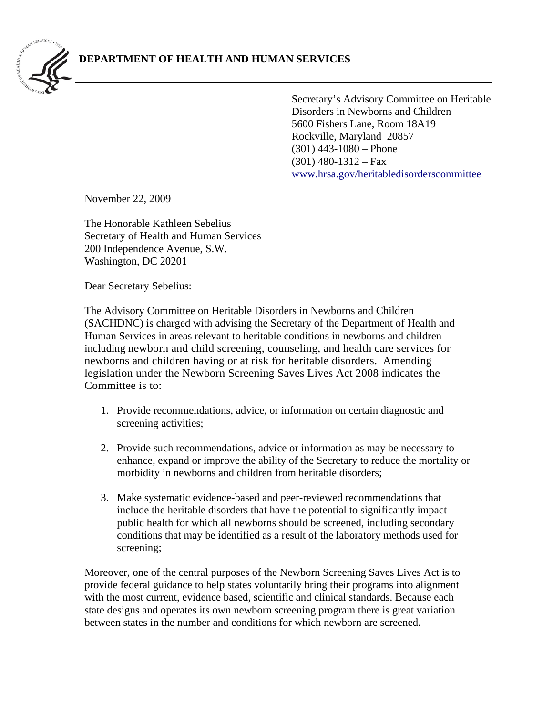

Secretary's Advisory Committee on Heritable Disorders in Newborns and Children 5600 Fishers Lane, Room 18A19 Rockville, Maryland 20857 (301) 443-1080 – Phone  $(301)$  480-1312 – Fax [www.hrsa.gov/heritabledisorderscommittee](http://www.hrsa.gov/heritabledisorderscommittee) 

November 22, 2009

The Honorable Kathleen Sebelius Secretary of Health and Human Services 200 Independence Avenue, S.W. Washington, DC 20201

Dear Secretary Sebelius:

The Advisory Committee on Heritable Disorders in Newborns and Children (SACHDNC) is charged with advising the Secretary of the Department of Health and Human Services in areas relevant to heritable conditions in newborns and children including newborn and child screening, counseling, and health care services for newborns and children having or at risk for heritable disorders. Amending legislation under the Newborn Screening Saves Lives Act 2008 indicates the Committee is to:

- 1. Provide recommendations, advice, or information on certain diagnostic and screening activities;
- 2. Provide such recommendations, advice or information as may be necessary to enhance, expand or improve the ability of the Secretary to reduce the mortality or morbidity in newborns and children from heritable disorders;
- 3. Make systematic evidence-based and peer-reviewed recommendations that include the heritable disorders that have the potential to significantly impact public health for which all newborns should be screened, including secondary conditions that may be identified as a result of the laboratory methods used for screening;

Moreover, one of the central purposes of the Newborn Screening Saves Lives Act is to provide federal guidance to help states voluntarily bring their programs into alignment with the most current, evidence based, scientific and clinical standards. Because each state designs and operates its own newborn screening program there is great variation between states in the number and conditions for which newborn are screened.